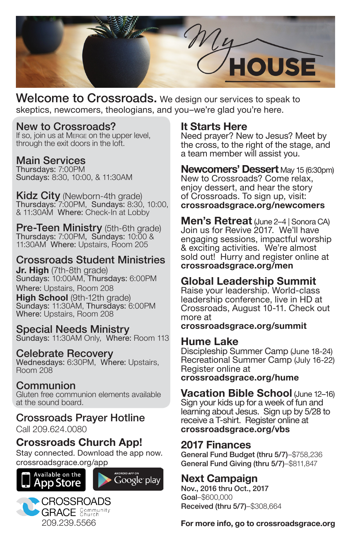

Welcome to Crossroads. We design our services to speak to skeptics, newcomers, theologians, and you–we're glad you're here.

### New to Crossroads?

If so, join us at Merge on the upper level, through the exit doors in the loft.

#### Main Services

Thursdays: 7:00PM Sundays: 8:30, 10:00, & 11:30AM

**Kidz City** (Newborn-4th grade) Thursdays: 7:00PM, Sundays: 8:30, 10:00, & 11:30AM Where: Check-In at Lobby

Pre-Teen Ministry (5th-6th grade) Thursdays: 7:00PM, Sundays: 10:00 & 11:30AM Where: Upstairs, Room 205

# Crossroads Student Ministries

**Jr. High** (7th-8th grade) Sundays: 10:00AM, Thursdays: 6:00PM Where: Upstairs, Room 208

**High School** (9th-12th grade) Sundays: 11:30AM, Thursdays: 6:00PM Where: Upstairs, Room 208

#### Special Needs Ministry

Sundays: 11:30AM Only, Where: Room 113

#### Celebrate Recovery

Wednesdays: 6:30PM, Where: Upstairs, Room 208

#### Communion Gluten free communion elements available

at the sound board.

#### Crossroads Prayer Hotline Call 209.624.0080

**Crossroads Church App!**

Stay connected. Download the app now. crossroadsgrace.org/app







# **It Starts Here**

Need prayer? New to Jesus? Meet by the cross, to the right of the stage, and a team member will assist you.

**Newcomers' Dessert** May 15 (6:30pm) New to Crossroads? Come relax, enjoy dessert, and hear the story of Crossroads. To sign up, visit: **crossroadsgrace.org/newcomers**

**Men's Retreat** (June 2–4 | Sonora CA) Join us for Revive 2017. We'll have engaging sessions, impactful worship & exciting activities. We're almost sold out! Hurry and register online at **crossroadsgrace.org/men**

# **Global Leadership Summit**

Raise your leadership. World-class leadership conference, live in HD at Crossroads, August 10-11. Check out more at

**crossroadsgrace.org/summit**

# **Hume Lake**

Discipleship Summer Camp (June 18-24) Recreational Summer Camp (July 16-22) Register online at **crossroadsgrace.org/hume**

**Vacation Bible School** (June 12–16) Sign your kids up for a week of fun and learning about Jesus. Sign up by 5/28 to receive a T-shirt. Register online at **crossroadsgrace.org/vbs**

# **2017 Finances**

General Fund Budget (thru 5/7)–\$758,236 General Fund Giving (thru 5/7)–\$811,847

# **Next Campaign**

Nov., 2016 thru Oct., 2017 Goal–\$600,000 Received (thru 5/7)–\$308,664

**For more info, go to crossroadsgrace.org**